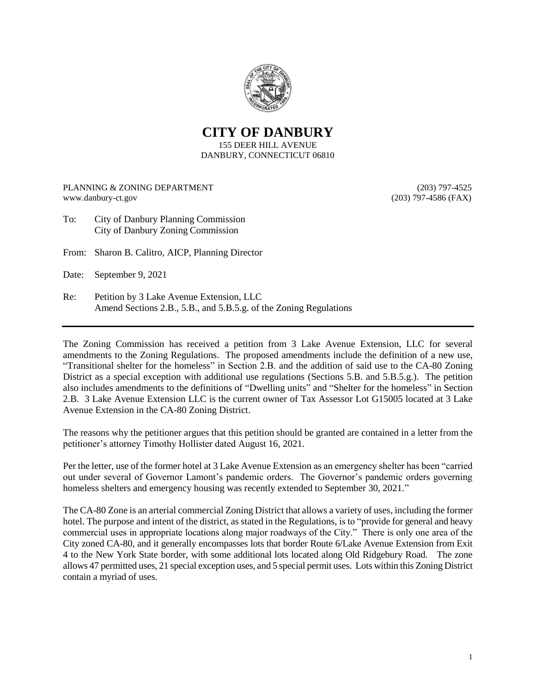

**CITY OF DANBURY** 155 DEER HILL AVENUE DANBURY, CONNECTICUT 06810

PLANNING & ZONING DEPARTMENT (203) 797-4525 www.danbury-ct.gov (203) 797-4586 (FAX)

- To: City of Danbury Planning Commission City of Danbury Zoning Commission
- From: Sharon B. Calitro, AICP, Planning Director

Date: September 9, 2021

Re: Petition by 3 Lake Avenue Extension, LLC Amend Sections 2.B., 5.B., and 5.B.5.g. of the Zoning Regulations

The Zoning Commission has received a petition from 3 Lake Avenue Extension, LLC for several amendments to the Zoning Regulations. The proposed amendments include the definition of a new use, "Transitional shelter for the homeless" in Section 2.B. and the addition of said use to the CA-80 Zoning District as a special exception with additional use regulations (Sections 5.B. and 5.B.5.g.). The petition also includes amendments to the definitions of "Dwelling units" and "Shelter for the homeless" in Section 2.B. 3 Lake Avenue Extension LLC is the current owner of Tax Assessor Lot G15005 located at 3 Lake Avenue Extension in the CA-80 Zoning District.

The reasons why the petitioner argues that this petition should be granted are contained in a letter from the petitioner's attorney Timothy Hollister dated August 16, 2021.

Per the letter, use of the former hotel at 3 Lake Avenue Extension as an emergency shelter has been "carried out under several of Governor Lamont's pandemic orders. The Governor's pandemic orders governing homeless shelters and emergency housing was recently extended to September 30, 2021."

The CA-80 Zone is an arterial commercial Zoning District that allows a variety of uses, including the former hotel. The purpose and intent of the district, as stated in the Regulations, is to "provide for general and heavy commercial uses in appropriate locations along major roadways of the City." There is only one area of the City zoned CA-80, and it generally encompasses lots that border Route 6/Lake Avenue Extension from Exit 4 to the New York State border, with some additional lots located along Old Ridgebury Road. The zone allows 47 permitted uses, 21 special exception uses, and 5 special permit uses. Lots within this Zoning District contain a myriad of uses.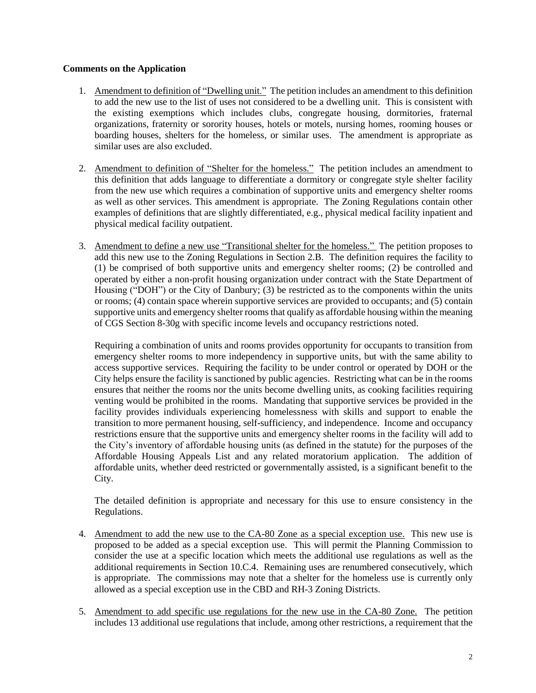## **Comments on the Application**

- 1. Amendment to definition of "Dwelling unit." The petition includes an amendment to this definition to add the new use to the list of uses not considered to be a dwelling unit. This is consistent with the existing exemptions which includes clubs, congregate housing, dormitories, fraternal organizations, fraternity or sorority houses, hotels or motels, nursing homes, rooming houses or boarding houses, shelters for the homeless, or similar uses. The amendment is appropriate as similar uses are also excluded.
- 2. Amendment to definition of "Shelter for the homeless." The petition includes an amendment to this definition that adds language to differentiate a dormitory or congregate style shelter facility from the new use which requires a combination of supportive units and emergency shelter rooms as well as other services. This amendment is appropriate. The Zoning Regulations contain other examples of definitions that are slightly differentiated, e.g., physical medical facility inpatient and physical medical facility outpatient.
- 3. Amendment to define a new use "Transitional shelter for the homeless." The petition proposes to add this new use to the Zoning Regulations in Section 2.B. The definition requires the facility to (1) be comprised of both supportive units and emergency shelter rooms; (2) be controlled and operated by either a non-profit housing organization under contract with the State Department of Housing ("DOH") or the City of Danbury; (3) be restricted as to the components within the units or rooms; (4) contain space wherein supportive services are provided to occupants; and (5) contain supportive units and emergency shelter rooms that qualify as affordable housing within the meaning of CGS Section 8-30g with specific income levels and occupancy restrictions noted.

Requiring a combination of units and rooms provides opportunity for occupants to transition from emergency shelter rooms to more independency in supportive units, but with the same ability to access supportive services. Requiring the facility to be under control or operated by DOH or the City helps ensure the facility is sanctioned by public agencies. Restricting what can be in the rooms ensures that neither the rooms nor the units become dwelling units, as cooking facilities requiring venting would be prohibited in the rooms. Mandating that supportive services be provided in the facility provides individuals experiencing homelessness with skills and support to enable the transition to more permanent housing, self-sufficiency, and independence. Income and occupancy restrictions ensure that the supportive units and emergency shelter rooms in the facility will add to the City's inventory of affordable housing units (as defined in the statute) for the purposes of the Affordable Housing Appeals List and any related moratorium application. The addition of affordable units, whether deed restricted or governmentally assisted, is a significant benefit to the City.

The detailed definition is appropriate and necessary for this use to ensure consistency in the Regulations.

- 4. Amendment to add the new use to the CA-80 Zone as a special exception use. This new use is proposed to be added as a special exception use. This will permit the Planning Commission to consider the use at a specific location which meets the additional use regulations as well as the additional requirements in Section 10.C.4. Remaining uses are renumbered consecutively, which is appropriate. The commissions may note that a shelter for the homeless use is currently only allowed as a special exception use in the CBD and RH-3 Zoning Districts.
- 5. Amendment to add specific use regulations for the new use in the CA-80 Zone. The petition includes 13 additional use regulations that include, among other restrictions, a requirement that the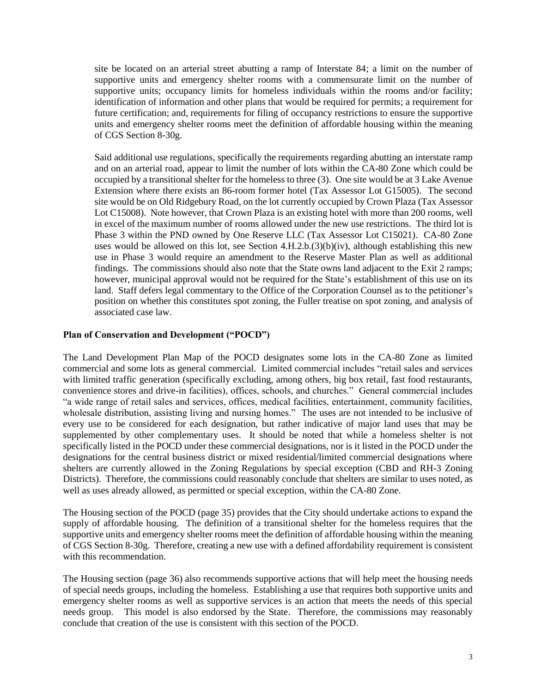site be located on an arterial street abutting a ramp of Interstate 84; a limit on the number of supportive units and emergency shelter rooms with a commensurate limit on the number of supportive units; occupancy limits for homeless individuals within the rooms and/or facility; identification of information and other plans that would be required for permits; a requirement for future certification; and, requirements for filing of occupancy restrictions to ensure the supportive units and emergency shelter rooms meet the definition of affordable housing within the meaning of CGS Section 8-30g.

Said additional use regulations, specifically the requirements regarding abutting an interstate ramp and on an arterial road, appear to limit the number of lots within the CA-80 Zone which could be occupied by a transitional shelter for the homeless to three (3). One site would be at 3 Lake Avenue Extension where there exists an 86-room former hotel (Tax Assessor Lot G15005). The second site would be on Old Ridgebury Road, on the lot currently occupied by Crown Plaza (Tax Assessor Lot C15008). Note however, that Crown Plaza is an existing hotel with more than 200 rooms, well in excel of the maximum number of rooms allowed under the new use restrictions. The third lot is Phase 3 within the PND owned by One Reserve LLC (Tax Assessor Lot C15021). CA-80 Zone uses would be allowed on this lot, see Section 4.H.2.b.(3)(b)(iv), although establishing this new use in Phase 3 would require an amendment to the Reserve Master Plan as well as additional findings. The commissions should also note that the State owns land adjacent to the Exit 2 ramps; however, municipal approval would not be required for the State's establishment of this use on its land. Staff defers legal commentary to the Office of the Corporation Counsel as to the petitioner's position on whether this constitutes spot zoning, the Fuller treatise on spot zoning, and analysis of associated case law.

## **Plan of Conservation and Development ("POCD")**

The Land Development Plan Map of the POCD designates some lots in the CA-80 Zone as limited commercial and some lots as general commercial. Limited commercial includes "retail sales and services with limited traffic generation (specifically excluding, among others, big box retail, fast food restaurants, convenience stores and drive-in facilities), offices, schools, and churches." General commercial includes "a wide range of retail sales and services, offices, medical facilities, entertainment, community facilities, wholesale distribution, assisting living and nursing homes." The uses are not intended to be inclusive of every use to be considered for each designation, but rather indicative of major land uses that may be supplemented by other complementary uses. It should be noted that while a homeless shelter is not specifically listed in the POCD under these commercial designations, nor is it listed in the POCD under the designations for the central business district or mixed residential/limited commercial designations where shelters are currently allowed in the Zoning Regulations by special exception (CBD and RH-3 Zoning Districts). Therefore, the commissions could reasonably conclude that shelters are similar to uses noted, as well as uses already allowed, as permitted or special exception, within the CA-80 Zone.

The Housing section of the POCD (page 35) provides that the City should undertake actions to expand the supply of affordable housing. The definition of a transitional shelter for the homeless requires that the supportive units and emergency shelter rooms meet the definition of affordable housing within the meaning of CGS Section 8-30g. Therefore, creating a new use with a defined affordability requirement is consistent with this recommendation.

The Housing section (page 36) also recommends supportive actions that will help meet the housing needs of special needs groups, including the homeless. Establishing a use that requires both supportive units and emergency shelter rooms as well as supportive services is an action that meets the needs of this special needs group. This model is also endorsed by the State. Therefore, the commissions may reasonably conclude that creation of the use is consistent with this section of the POCD.